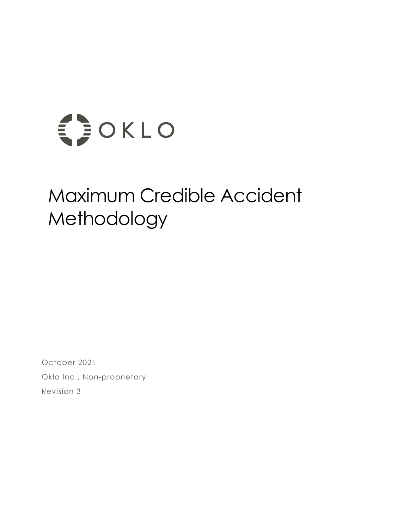

# Maximum Credible Accident Methodology

October 2021 Oklo Inc., Non-proprietary Revision 3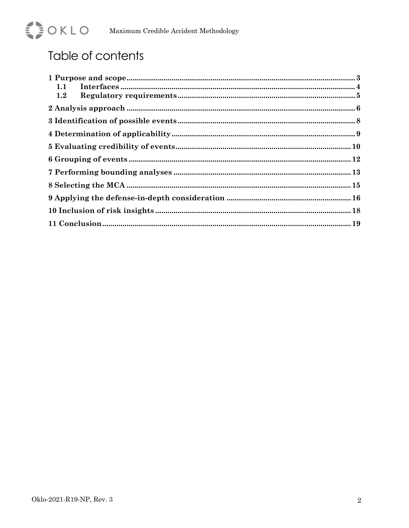

## Table of contents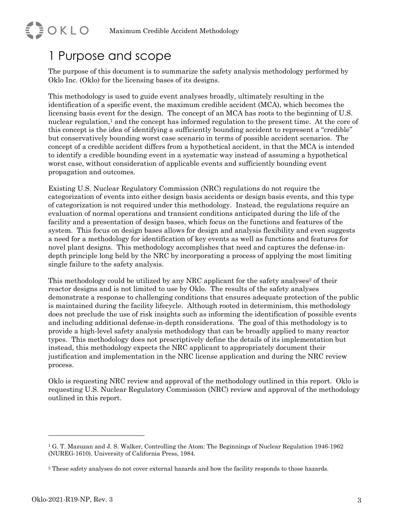#### 1 Purpose and scope

**EDOKLO** 

The purpose of this document is to summarize the safety analysis methodology performed by Oklo Inc. (Oklo) for the licensing bases of its designs.

This methodology is used to guide event analyses broadly, ultimately resulting in the identification of a specific event, the maximum credible accident (MCA), which becomes the licensing basis event for the design. The concept of an MCA has roots to the beginning of U.S. nuclear regulation,<sup>1</sup> and the concept has informed regulation to the present time. At the core of this concept is the idea of identifying a sufficiently bounding accident to represent a "credible" but conservatively bounding worst case scenario in terms of possible accident scenarios. The concept of a credible accident differs from a hypothetical accident, in that the MCA is intended to identify a credible bounding event in a systematic way instead of assuming a hypothetical worst case, without consideration of applicable events and sufficiently bounding event propagation and outcomes.

Existing U.S. Nuclear Regulatory Commission (NRC) regulations do not require the categorization of events into either design basis accidents or design basis events, and this type of categorization is not required under this methodology. Instead, the regulations require an evaluation of normal operations and transient conditions anticipated during the life of the facility and a presentation of design bases, which focus on the functions and features of the system. This focus on design bases allows for design and analysis flexibility and even suggests a need for a methodology for identification of key events as well as functions and features for novel plant designs. This methodology accomplishes that need and captures the defense-indepth principle long held by the NRC by incorporating a process of applying the most limiting single failure to the safety analysis.

This methodology could be utilized by any NRC applicant for the safety analyses<sup>2</sup> of their reactor designs and is not limited to use by Oklo. The results of the safety analyses demonstrate a response to challenging conditions that ensures adequate protection of the public is maintained during the facility lifecycle. Although rooted in determinism, this methodology does not preclude the use of risk insights such as informing the identification of possible events and including additional defense-in-depth considerations. The goal of this methodology is to provide a high-level safety analysis methodology that can be broadly applied to many reactor types. This methodology does not prescriptively define the details of its implementation but instead, this methodology expects the NRC applicant to appropriately document their justification and implementation in the NRC license application and during the NRC review process.

Oklo is requesting NRC review and approval of the methodology outlined in this report. Oklo is requesting U.S. Nuclear Regulatory Commission (NRC) review and approval of the methodology outlined in this report.

<sup>1</sup> G. T. Mazuzan and J. S. Walker, Controlling the Atom: The Beginnings of Nuclear Regulation 1946-1962 (NUREG-1610). University of California Press, 1984.

<sup>&</sup>lt;sup>2</sup> These safety analyses do not cover external hazards and how the facility responds to those hazards.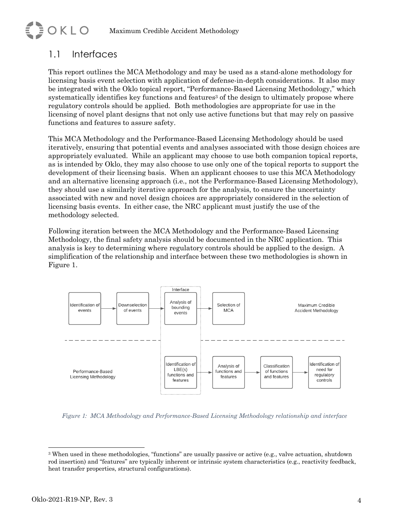#### 1.1 Interfaces

**EDOKLO** 

This report outlines the MCA Methodology and may be used as a stand-alone methodology for licensing basis event selection with application of defense-in-depth considerations. It also may be integrated with the Oklo topical report, "Performance-Based Licensing Methodology," which systematically identifies key functions and features<sup>3</sup> of the design to ultimately propose where regulatory controls should be applied. Both methodologies are appropriate for use in the licensing of novel plant designs that not only use active functions but that may rely on passive functions and features to assure safety.

This MCA Methodology and the Performance-Based Licensing Methodology should be used iteratively, ensuring that potential events and analyses associated with those design choices are appropriately evaluated. While an applicant may choose to use both companion topical reports, as is intended by Oklo, they may also choose to use only one of the topical reports to support the development of their licensing basis. When an applicant chooses to use this MCA Methodology and an alternative licensing approach (i.e., not the Performance-Based Licensing Methodology), they should use a similarly iterative approach for the analysis, to ensure the uncertainty associated with new and novel design choices are appropriately considered in the selection of licensing basis events. In either case, the NRC applicant must justify the use of the methodology selected.

Following iteration between the MCA Methodology and the Performance-Based Licensing Methodology, the final safety analysis should be documented in the NRC application. This analysis is key to determining where regulatory controls should be applied to the design. A simplification of the relationship and interface between these two methodologies is shown in Figure 1.



*Figure 1: MCA Methodology and Performance-Based Licensing Methodology relationship and interface*

<sup>3</sup> When used in these methodologies, "functions" are usually passive or active (e.g., valve actuation, shutdown rod insertion) and "features" are typically inherent or intrinsic system characteristics (e.g., reactivity feedback, heat transfer properties, structural configurations).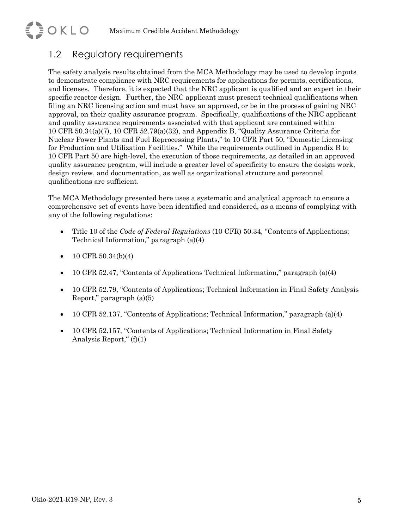#### 1.2 Regulatory requirements

**EDOKLO** 

The safety analysis results obtained from the MCA Methodology may be used to develop inputs to demonstrate compliance with NRC requirements for applications for permits, certifications, and licenses. Therefore, it is expected that the NRC applicant is qualified and an expert in their specific reactor design. Further, the NRC applicant must present technical qualifications when filing an NRC licensing action and must have an approved, or be in the process of gaining NRC approval, on their quality assurance program. Specifically, qualifications of the NRC applicant and quality assurance requirements associated with that applicant are contained within 10 CFR 50.34(a)(7), 10 CFR 52.79(a)(32), and Appendix B, "Quality Assurance Criteria for Nuclear Power Plants and Fuel Reprocessing Plants," to 10 CFR Part 50, "Domestic Licensing for Production and Utilization Facilities." While the requirements outlined in Appendix B to 10 CFR Part 50 are high-level, the execution of those requirements, as detailed in an approved quality assurance program, will include a greater level of specificity to ensure the design work, design review, and documentation, as well as organizational structure and personnel qualifications are sufficient.

The MCA Methodology presented here uses a systematic and analytical approach to ensure a comprehensive set of events have been identified and considered, as a means of complying with any of the following regulations:

- Title 10 of the *Code of Federal Regulations* (10 CFR) 50.34, "Contents of Applications; Technical Information," paragraph (a)(4)
- 10 CFR  $50.34(b)(4)$
- 10 CFR 52.47, "Contents of Applications Technical Information," paragraph (a)(4)
- 10 CFR 52.79, "Contents of Applications; Technical Information in Final Safety Analysis Report," paragraph (a)(5)
- 10 CFR 52.137, "Contents of Applications; Technical Information," paragraph (a)(4)
- 10 CFR 52.157, "Contents of Applications; Technical Information in Final Safety Analysis Report," $(f)(1)$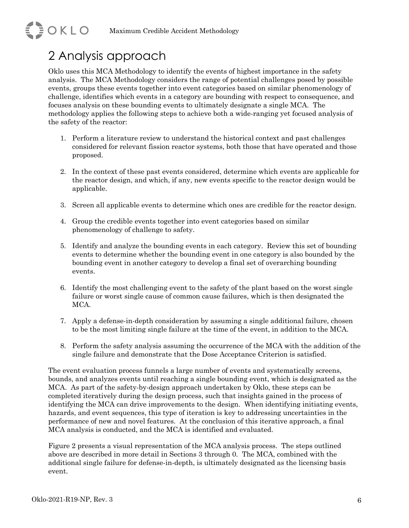## 2 Analysis approach

**EDOKLO** 

Oklo uses this MCA Methodology to identify the events of highest importance in the safety analysis. The MCA Methodology considers the range of potential challenges posed by possible events, groups these events together into event categories based on similar phenomenology of challenge, identifies which events in a category are bounding with respect to consequence, and focuses analysis on these bounding events to ultimately designate a single MCA. The methodology applies the following steps to achieve both a wide-ranging yet focused analysis of the safety of the reactor:

- 1. Perform a literature review to understand the historical context and past challenges considered for relevant fission reactor systems, both those that have operated and those proposed.
- 2. In the context of these past events considered, determine which events are applicable for the reactor design, and which, if any, new events specific to the reactor design would be applicable.
- 3. Screen all applicable events to determine which ones are credible for the reactor design.
- 4. Group the credible events together into event categories based on similar phenomenology of challenge to safety.
- 5. Identify and analyze the bounding events in each category. Review this set of bounding events to determine whether the bounding event in one category is also bounded by the bounding event in another category to develop a final set of overarching bounding events.
- 6. Identify the most challenging event to the safety of the plant based on the worst single failure or worst single cause of common cause failures, which is then designated the MCA.
- 7. Apply a defense-in-depth consideration by assuming a single additional failure, chosen to be the most limiting single failure at the time of the event, in addition to the MCA.
- 8. Perform the safety analysis assuming the occurrence of the MCA with the addition of the single failure and demonstrate that the Dose Acceptance Criterion is satisfied.

The event evaluation process funnels a large number of events and systematically screens, bounds, and analyzes events until reaching a single bounding event, which is designated as the MCA. As part of the safety-by-design approach undertaken by Oklo, these steps can be completed iteratively during the design process, such that insights gained in the process of identifying the MCA can drive improvements to the design. When identifying initiating events, hazards, and event sequences, this type of iteration is key to addressing uncertainties in the performance of new and novel features. At the conclusion of this iterative approach, a final MCA analysis is conducted, and the MCA is identified and evaluated.

Figure 2 presents a visual representation of the MCA analysis process. The steps outlined above are described in more detail in Sections 3 through 0. The MCA, combined with the additional single failure for defense-in-depth, is ultimately designated as the licensing basis event.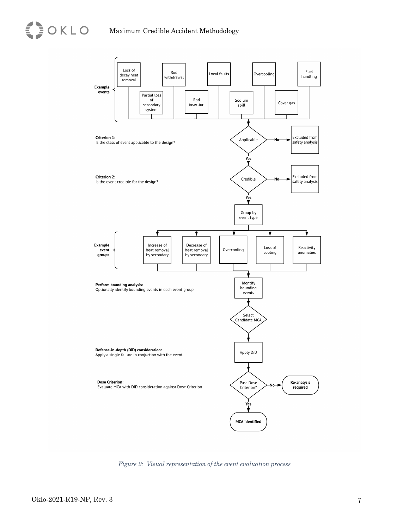

*Figure 2: Visual representation of the event evaluation process*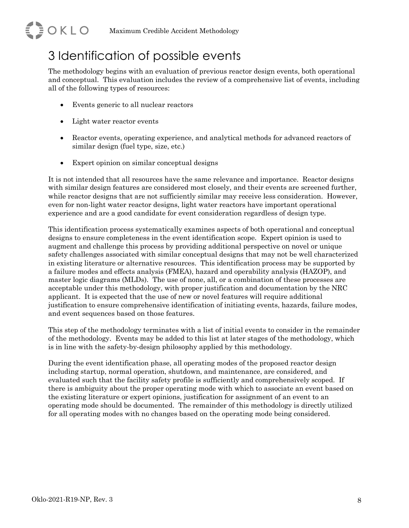# **EDOKLO**

### 3 Identification of possible events

The methodology begins with an evaluation of previous reactor design events, both operational and conceptual. This evaluation includes the review of a comprehensive list of events, including all of the following types of resources:

- Events generic to all nuclear reactors
- Light water reactor events
- Reactor events, operating experience, and analytical methods for advanced reactors of similar design (fuel type, size, etc.)
- Expert opinion on similar conceptual designs

It is not intended that all resources have the same relevance and importance. Reactor designs with similar design features are considered most closely, and their events are screened further, while reactor designs that are not sufficiently similar may receive less consideration. However, even for non-light water reactor designs, light water reactors have important operational experience and are a good candidate for event consideration regardless of design type.

This identification process systematically examines aspects of both operational and conceptual designs to ensure completeness in the event identification scope. Expert opinion is used to augment and challenge this process by providing additional perspective on novel or unique safety challenges associated with similar conceptual designs that may not be well characterized in existing literature or alternative resources. This identification process may be supported by a failure modes and effects analysis (FMEA), hazard and operability analysis (HAZOP), and master logic diagrams (MLDs). The use of none, all, or a combination of these processes are acceptable under this methodology, with proper justification and documentation by the NRC applicant. It is expected that the use of new or novel features will require additional justification to ensure comprehensive identification of initiating events, hazards, failure modes, and event sequences based on those features.

This step of the methodology terminates with a list of initial events to consider in the remainder of the methodology. Events may be added to this list at later stages of the methodology, which is in line with the safety-by-design philosophy applied by this methodology.

During the event identification phase, all operating modes of the proposed reactor design including startup, normal operation, shutdown, and maintenance, are considered, and evaluated such that the facility safety profile is sufficiently and comprehensively scoped. If there is ambiguity about the proper operating mode with which to associate an event based on the existing literature or expert opinions, justification for assignment of an event to an operating mode should be documented. The remainder of this methodology is directly utilized for all operating modes with no changes based on the operating mode being considered.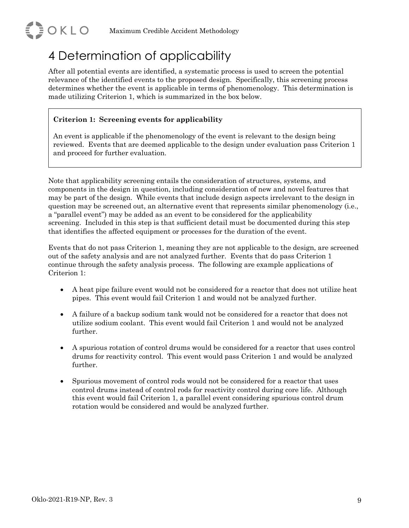

#### 4 Determination of applicability

After all potential events are identified, a systematic process is used to screen the potential relevance of the identified events to the proposed design. Specifically, this screening process determines whether the event is applicable in terms of phenomenology. This determination is made utilizing Criterion 1, which is summarized in the box below.

#### **Criterion 1: Screening events for applicability**

An event is applicable if the phenomenology of the event is relevant to the design being reviewed. Events that are deemed applicable to the design under evaluation pass Criterion 1 and proceed for further evaluation.

Note that applicability screening entails the consideration of structures, systems, and components in the design in question, including consideration of new and novel features that may be part of the design. While events that include design aspects irrelevant to the design in question may be screened out, an alternative event that represents similar phenomenology (i.e., a "parallel event") may be added as an event to be considered for the applicability screening. Included in this step is that sufficient detail must be documented during this step that identifies the affected equipment or processes for the duration of the event.

Events that do not pass Criterion 1, meaning they are not applicable to the design, are screened out of the safety analysis and are not analyzed further. Events that do pass Criterion 1 continue through the safety analysis process. The following are example applications of Criterion 1:

- A heat pipe failure event would not be considered for a reactor that does not utilize heat pipes. This event would fail Criterion 1 and would not be analyzed further.
- A failure of a backup sodium tank would not be considered for a reactor that does not utilize sodium coolant. This event would fail Criterion 1 and would not be analyzed further.
- A spurious rotation of control drums would be considered for a reactor that uses control drums for reactivity control. This event would pass Criterion 1 and would be analyzed further.
- Spurious movement of control rods would not be considered for a reactor that uses control drums instead of control rods for reactivity control during core life. Although this event would fail Criterion 1, a parallel event considering spurious control drum rotation would be considered and would be analyzed further.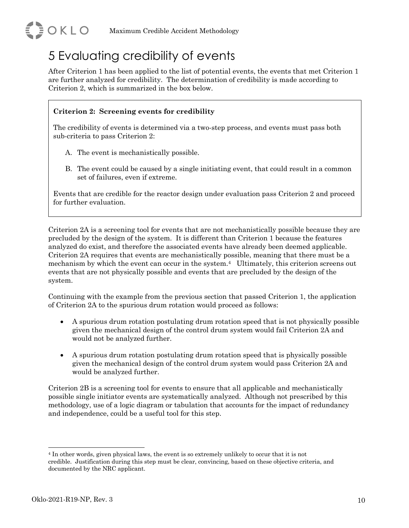

#### 5 Evaluating credibility of events

After Criterion 1 has been applied to the list of potential events, the events that met Criterion 1 are further analyzed for credibility. The determination of credibility is made according to Criterion 2, which is summarized in the box below.

#### **Criterion 2: Screening events for credibility**

The credibility of events is determined via a two-step process, and events must pass both sub-criteria to pass Criterion 2:

- A. The event is mechanistically possible.
- B. The event could be caused by a single initiating event, that could result in a common set of failures, even if extreme.

Events that are credible for the reactor design under evaluation pass Criterion 2 and proceed for further evaluation.

Criterion 2A is a screening tool for events that are not mechanistically possible because they are precluded by the design of the system. It is different than Criterion 1 because the features analyzed do exist, and therefore the associated events have already been deemed applicable. Criterion 2A requires that events are mechanistically possible, meaning that there must be a mechanism by which the event can occur in the system.4 Ultimately, this criterion screens out events that are not physically possible and events that are precluded by the design of the system.

Continuing with the example from the previous section that passed Criterion 1, the application of Criterion 2A to the spurious drum rotation would proceed as follows:

- A spurious drum rotation postulating drum rotation speed that is not physically possible given the mechanical design of the control drum system would fail Criterion 2A and would not be analyzed further.
- A spurious drum rotation postulating drum rotation speed that is physically possible given the mechanical design of the control drum system would pass Criterion 2A and would be analyzed further.

Criterion 2B is a screening tool for events to ensure that all applicable and mechanistically possible single initiator events are systematically analyzed. Although not prescribed by this methodology, use of a logic diagram or tabulation that accounts for the impact of redundancy and independence, could be a useful tool for this step.

<sup>4</sup> In other words, given physical laws, the event is so extremely unlikely to occur that it is not credible. Justification during this step must be clear, convincing, based on these objective criteria, and documented by the NRC applicant.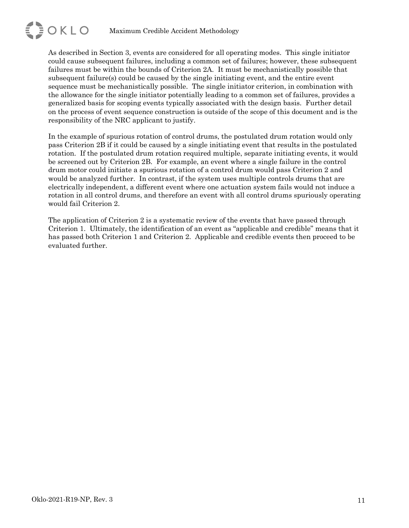

As described in Section 3, events are considered for all operating modes. This single initiator could cause subsequent failures, including a common set of failures; however, these subsequent failures must be within the bounds of Criterion 2A. It must be mechanistically possible that subsequent failure(s) could be caused by the single initiating event, and the entire event sequence must be mechanistically possible. The single initiator criterion, in combination with the allowance for the single initiator potentially leading to a common set of failures, provides a generalized basis for scoping events typically associated with the design basis. Further detail on the process of event sequence construction is outside of the scope of this document and is the responsibility of the NRC applicant to justify.

In the example of spurious rotation of control drums, the postulated drum rotation would only pass Criterion 2B if it could be caused by a single initiating event that results in the postulated rotation. If the postulated drum rotation required multiple, separate initiating events, it would be screened out by Criterion 2B. For example, an event where a single failure in the control drum motor could initiate a spurious rotation of a control drum would pass Criterion 2 and would be analyzed further. In contrast, if the system uses multiple controls drums that are electrically independent, a different event where one actuation system fails would not induce a rotation in all control drums, and therefore an event with all control drums spuriously operating would fail Criterion 2.

The application of Criterion 2 is a systematic review of the events that have passed through Criterion 1. Ultimately, the identification of an event as "applicable and credible" means that it has passed both Criterion 1 and Criterion 2. Applicable and credible events then proceed to be evaluated further.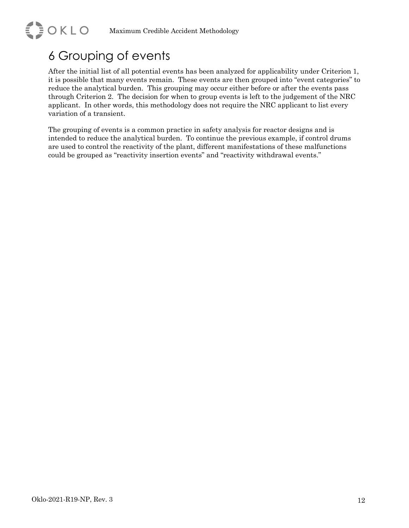### 6 Grouping of events

EDOKLO

After the initial list of all potential events has been analyzed for applicability under Criterion 1, it is possible that many events remain. These events are then grouped into "event categories" to reduce the analytical burden. This grouping may occur either before or after the events pass through Criterion 2. The decision for when to group events is left to the judgement of the NRC applicant. In other words, this methodology does not require the NRC applicant to list every variation of a transient.

The grouping of events is a common practice in safety analysis for reactor designs and is intended to reduce the analytical burden. To continue the previous example, if control drums are used to control the reactivity of the plant, different manifestations of these malfunctions could be grouped as "reactivity insertion events" and "reactivity withdrawal events."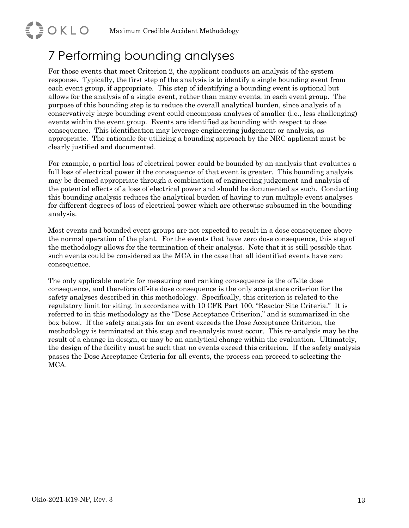### 7 Performing bounding analyses

**EDOKLO** 

For those events that meet Criterion 2, the applicant conducts an analysis of the system response. Typically, the first step of the analysis is to identify a single bounding event from each event group, if appropriate. This step of identifying a bounding event is optional but allows for the analysis of a single event, rather than many events, in each event group. The purpose of this bounding step is to reduce the overall analytical burden, since analysis of a conservatively large bounding event could encompass analyses of smaller (i.e., less challenging) events within the event group. Events are identified as bounding with respect to dose consequence. This identification may leverage engineering judgement or analysis, as appropriate. The rationale for utilizing a bounding approach by the NRC applicant must be clearly justified and documented.

For example, a partial loss of electrical power could be bounded by an analysis that evaluates a full loss of electrical power if the consequence of that event is greater. This bounding analysis may be deemed appropriate through a combination of engineering judgement and analysis of the potential effects of a loss of electrical power and should be documented as such. Conducting this bounding analysis reduces the analytical burden of having to run multiple event analyses for different degrees of loss of electrical power which are otherwise subsumed in the bounding analysis.

Most events and bounded event groups are not expected to result in a dose consequence above the normal operation of the plant. For the events that have zero dose consequence, this step of the methodology allows for the termination of their analysis. Note that it is still possible that such events could be considered as the MCA in the case that all identified events have zero consequence.

The only applicable metric for measuring and ranking consequence is the offsite dose consequence, and therefore offsite dose consequence is the only acceptance criterion for the safety analyses described in this methodology. Specifically, this criterion is related to the regulatory limit for siting, in accordance with 10 CFR Part 100, "Reactor Site Criteria." It is referred to in this methodology as the "Dose Acceptance Criterion," and is summarized in the box below. If the safety analysis for an event exceeds the Dose Acceptance Criterion, the methodology is terminated at this step and re-analysis must occur. This re-analysis may be the result of a change in design, or may be an analytical change within the evaluation. Ultimately, the design of the facility must be such that no events exceed this criterion. If the safety analysis passes the Dose Acceptance Criteria for all events, the process can proceed to selecting the MCA.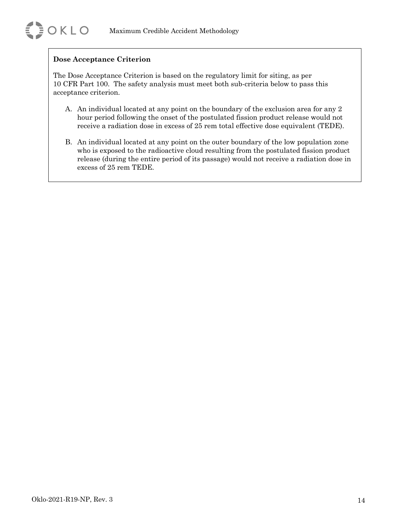#### **Dose Acceptance Criterion**

The Dose Acceptance Criterion is based on the regulatory limit for siting, as per 10 CFR Part 100. The safety analysis must meet both sub-criteria below to pass this acceptance criterion.

- A. An individual located at any point on the boundary of the exclusion area for any 2 hour period following the onset of the postulated fission product release would not receive a radiation dose in excess of 25 rem total effective dose equivalent (TEDE).
- B. An individual located at any point on the outer boundary of the low population zone who is exposed to the radioactive cloud resulting from the postulated fission product release (during the entire period of its passage) would not receive a radiation dose in excess of 25 rem TEDE.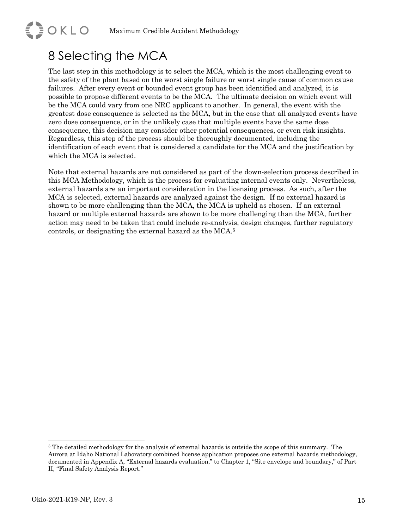### 8 Selecting the MCA

**EDOKLO** 

The last step in this methodology is to select the MCA, which is the most challenging event to the safety of the plant based on the worst single failure or worst single cause of common cause failures. After every event or bounded event group has been identified and analyzed, it is possible to propose different events to be the MCA. The ultimate decision on which event will be the MCA could vary from one NRC applicant to another. In general, the event with the greatest dose consequence is selected as the MCA, but in the case that all analyzed events have zero dose consequence, or in the unlikely case that multiple events have the same dose consequence, this decision may consider other potential consequences, or even risk insights. Regardless, this step of the process should be thoroughly documented, including the identification of each event that is considered a candidate for the MCA and the justification by which the MCA is selected.

Note that external hazards are not considered as part of the down-selection process described in this MCA Methodology, which is the process for evaluating internal events only. Nevertheless, external hazards are an important consideration in the licensing process. As such, after the MCA is selected, external hazards are analyzed against the design. If no external hazard is shown to be more challenging than the MCA, the MCA is upheld as chosen. If an external hazard or multiple external hazards are shown to be more challenging than the MCA, further action may need to be taken that could include re-analysis, design changes, further regulatory controls, or designating the external hazard as the MCA.5

<sup>&</sup>lt;sup>5</sup> The detailed methodology for the analysis of external hazards is outside the scope of this summary. The Aurora at Idaho National Laboratory combined license application proposes one external hazards methodology, documented in Appendix A, "External hazards evaluation," to Chapter 1, "Site envelope and boundary," of Part II, "Final Safety Analysis Report."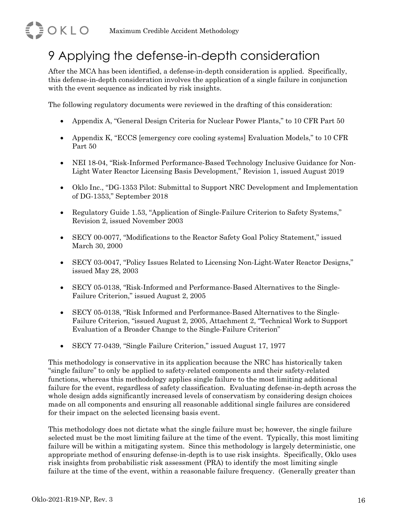### 9 Applying the defense-in-depth consideration

After the MCA has been identified, a defense-in-depth consideration is applied. Specifically, this defense-in-depth consideration involves the application of a single failure in conjunction with the event sequence as indicated by risk insights.

The following regulatory documents were reviewed in the drafting of this consideration:

- Appendix A, "General Design Criteria for Nuclear Power Plants," to 10 CFR Part 50
- Appendix K, "ECCS [emergency core cooling systems] Evaluation Models," to 10 CFR Part 50
- NEI 18-04, "Risk-Informed Performance-Based Technology Inclusive Guidance for Non-Light Water Reactor Licensing Basis Development," Revision 1, issued August 2019
- Oklo Inc., "DG-1353 Pilot: Submittal to Support NRC Development and Implementation of DG-1353," September 2018
- Regulatory Guide 1.53, "Application of Single-Failure Criterion to Safety Systems," Revision 2, issued November 2003
- SECY 00-0077, "Modifications to the Reactor Safety Goal Policy Statement," issued March 30, 2000
- SECY 03-0047, "Policy Issues Related to Licensing Non-Light-Water Reactor Designs," issued May 28, 2003
- SECY 05-0138, "Risk-Informed and Performance-Based Alternatives to the Single-Failure Criterion," issued August 2, 2005
- SECY 05-0138, "Risk Informed and Performance-Based Alternatives to the Single-Failure Criterion, "issued August 2, 2005, Attachment 2, "Technical Work to Support Evaluation of a Broader Change to the Single-Failure Criterion"
- SECY 77-0439, "Single Failure Criterion," issued August 17, 1977

This methodology is conservative in its application because the NRC has historically taken "single failure" to only be applied to safety-related components and their safety-related functions, whereas this methodology applies single failure to the most limiting additional failure for the event, regardless of safety classification. Evaluating defense-in-depth across the whole design adds significantly increased levels of conservatism by considering design choices made on all components and ensuring all reasonable additional single failures are considered for their impact on the selected licensing basis event.

This methodology does not dictate what the single failure must be; however, the single failure selected must be the most limiting failure at the time of the event. Typically, this most limiting failure will be within a mitigating system. Since this methodology is largely deterministic, one appropriate method of ensuring defense-in-depth is to use risk insights. Specifically, Oklo uses risk insights from probabilistic risk assessment (PRA) to identify the most limiting single failure at the time of the event, within a reasonable failure frequency. (Generally greater than

**EDOKLO**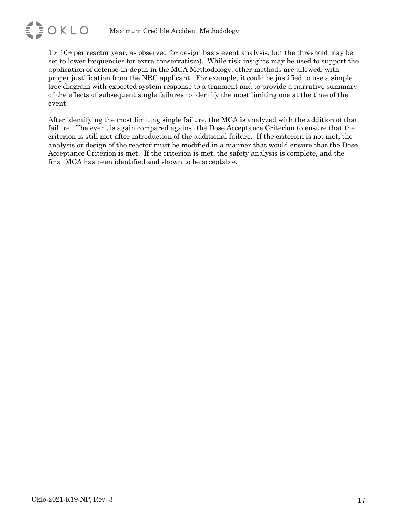

 $1 \times 10^{-4}$  per reactor year, as observed for design basis event analysis, but the threshold may be set to lower frequencies for extra conservatism). While risk insights may be used to support the application of defense-in-depth in the MCA Methodology, other methods are allowed, with proper justification from the NRC applicant. For example, it could be justified to use a simple tree diagram with expected system response to a transient and to provide a narrative summary of the effects of subsequent single failures to identify the most limiting one at the time of the event.

After identifying the most limiting single failure, the MCA is analyzed with the addition of that failure. The event is again compared against the Dose Acceptance Criterion to ensure that the criterion is still met after introduction of the additional failure. If the criterion is not met, the analysis or design of the reactor must be modified in a manner that would ensure that the Dose Acceptance Criterion is met. If the criterion is met, the safety analysis is complete, and the final MCA has been identified and shown to be acceptable.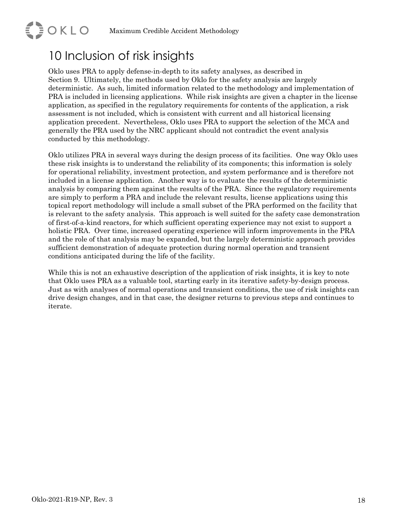#### 10 Inclusion of risk insights

**EDOKLO** 

Oklo uses PRA to apply defense-in-depth to its safety analyses, as described in Section 9. Ultimately, the methods used by Oklo for the safety analysis are largely deterministic. As such, limited information related to the methodology and implementation of PRA is included in licensing applications. While risk insights are given a chapter in the license application, as specified in the regulatory requirements for contents of the application, a risk assessment is not included, which is consistent with current and all historical licensing application precedent. Nevertheless, Oklo uses PRA to support the selection of the MCA and generally the PRA used by the NRC applicant should not contradict the event analysis conducted by this methodology.

Oklo utilizes PRA in several ways during the design process of its facilities. One way Oklo uses these risk insights is to understand the reliability of its components; this information is solely for operational reliability, investment protection, and system performance and is therefore not included in a license application. Another way is to evaluate the results of the deterministic analysis by comparing them against the results of the PRA. Since the regulatory requirements are simply to perform a PRA and include the relevant results, license applications using this topical report methodology will include a small subset of the PRA performed on the facility that is relevant to the safety analysis. This approach is well suited for the safety case demonstration of first-of-a-kind reactors, for which sufficient operating experience may not exist to support a holistic PRA. Over time, increased operating experience will inform improvements in the PRA and the role of that analysis may be expanded, but the largely deterministic approach provides sufficient demonstration of adequate protection during normal operation and transient conditions anticipated during the life of the facility.

While this is not an exhaustive description of the application of risk insights, it is key to note that Oklo uses PRA as a valuable tool, starting early in its iterative safety-by-design process. Just as with analyses of normal operations and transient conditions, the use of risk insights can drive design changes, and in that case, the designer returns to previous steps and continues to iterate.